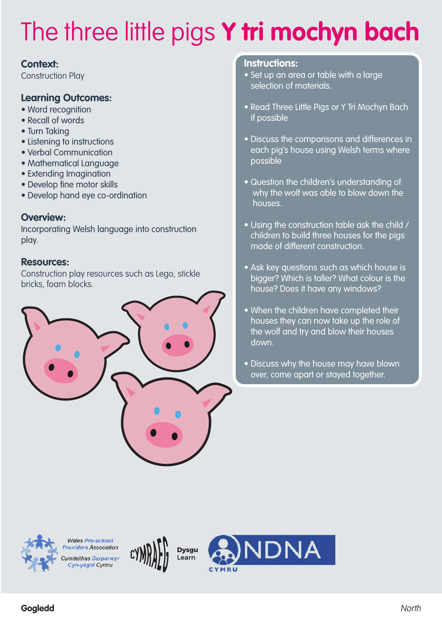### **Context:**

Construction Play

## **Learning Outcomes:**

- Word recognition
- Recall of words
- Turn Taking
- Listening to instructions
- Verbal Communication
- Mathematical Language
- Extending Imagination
- Develop fine motor skills
- Develop hand eye co-ordination

### **Overview:**

Incorporating Welsh language into construction play.

### **Resources:**

Construction play resources such as Lego, stickle bricks, foam blocks.



#### **Instructions:**

- Set up an area or table with a large selection of materials.
- Read Three Little Pigs or Y Tri Mochyn Bach if possible
- Discuss the comparisons and differences in each pig's house using Welsh terms where possible
- Question the children's understanding of why the wolf was able to blow down the houses.
- Using the construction table ask the child / children to build three houses for the pigs made of different construction.
- Ask key questions such as which house is bigger? Which is taller? What colour is the house? Does it have any windows?
- When the children have completed their houses they can now take up the role of the wolf and try and blow their houses down.
- Discuss why the house may have blown over, come apart or stayed together.



**Wales Pre-school** roviders Association Cymdeithas Darparwyr Cyn-ysgol Cymru





**Gogledd** North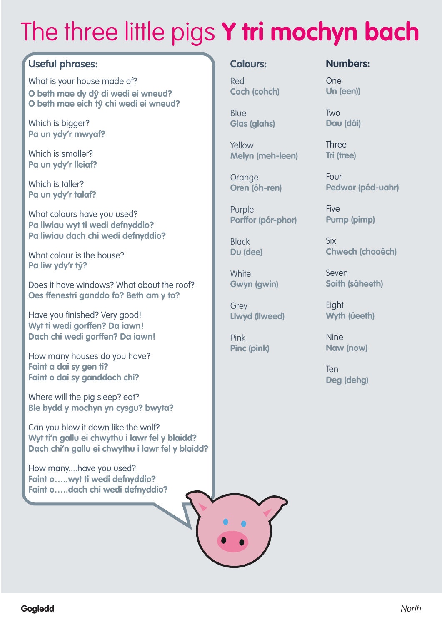## **Useful phrases:**

What is your house made of? **O beth mae dy d**ŷ **di wedi ei wneud? O beth mae eich t**ŷ **chi wedi ei wneud?**

Which is bigger? **Pa un ydy'r mwyaf?**

Which is smaller? **Pa un ydy'r lleiaf?**

Which is taller? **Pa un ydy'r talaf?**

What colours have you used? **Pa liwiau wyt ti wedi defnyddio? Pa liwiau dach chi wedi defnyddio?**

What colour is the house? **Pa liw ydy'r t**ŷ**?**

Does it have windows? What about the roof? **Oes ffenestri ganddo fo? Beth am y to?**

Have you finished? Very good! **Wyt ti wedi gorffen? Da iawn! Dach chi wedi gorffen? Da iawn!**

How many houses do you have? **Faint a dai sy gen ti? Faint o dai sy ganddoch chi?**

Where will the pig sleep? eat? **Ble bydd y mochyn yn cysgu? bwyta?**

Can you blow it down like the wolf? **Wyt ti'n gallu ei chwythu i lawr fel y blaidd? Dach chi'n gallu ei chwythu i lawr fel y blaidd?**

How many....have you used? **Faint o…..wyt ti wedi defnyddio? Faint o…..dach chi wedi defnyddio?**

#### **Colours:**

Red **Coch (cohch)**

**Blue Glas (glahs)**

Yellow **Melyn (meh-leen)**

**Orange Oren (óh-ren)**

Purple **Porffor (pór-phor)**

Black **Du (dee)**

**White Gwyn (gwin)**

Grey **Llwyd (llweed)**

Pink **Pinc (pink)** **Numbers:**

One **Un (een))**

Two **Dau (dái)**

Three **Tri (tree)**

Four **Pedwar (péd-uahr)**

**Five Pump (pimp)**

Six **Chwech (chooéch)**

Seven **Saith (sáheeth)**

**Eight Wyth (úeeth)**

Nine **Naw (now)**

Ten **Deg (dehg)**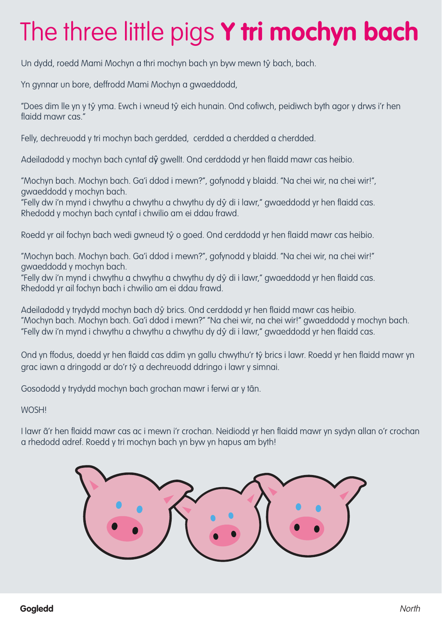Un dydd, roedd Mami Mochyn a thri mochyn bach yn byw mewn tŷ bach, bach.

Yn gynnar un bore, deffrodd Mami Mochyn a gwaeddodd,

"Does dim lle yn y tŷ yma. Ewch i wneud tŷ eich hunain. Ond cofiwch, peidiwch byth agor y drws i'r hen flaidd mawr cas."

Felly, dechreuodd y tri mochyn bach gerdded, cerdded a cherdded a cherdded.

Adeiladodd y mochyn bach cyntaf dŷ gwellt. Ond cerddodd yr hen flaidd mawr cas heibio.

"Mochyn bach. Mochyn bach. Ga'i ddod i mewn?", gofynodd y blaidd. "Na chei wir, na chei wir!", gwaeddodd y mochyn bach.

"Felly dw i'n mynd i chwythu a chwythu a chwythu dy dŷ di i lawr," gwaeddodd yr hen flaidd cas. Rhedodd y mochyn bach cyntaf i chwilio am ei ddau frawd.

Roedd yr ail fochyn bach wedi gwneud tŷ o goed. Ond cerddodd yr hen flaidd mawr cas heibio.

"Mochyn bach. Mochyn bach. Ga'i ddod i mewn?", gofynodd y blaidd. "Na chei wir, na chei wir!" gwaeddodd y mochyn bach.

"Felly dw i'n mynd i chwythu a chwythu a chwythu dy dŷ di i lawr," gwaeddodd yr hen flaidd cas. Rhedodd yr ail fochyn bach i chwilio am ei ddau frawd.

Adeiladodd y trydydd mochyn bach dŷ brics. Ond cerddodd yr hen flaidd mawr cas heibio. "Mochyn bach. Mochyn bach. Ga'i ddod i mewn?" "Na chei wir, na chei wir!" gwaeddodd y mochyn bach. "Felly dw i'n mynd i chwythu a chwythu a chwythu dy dŷ di i lawr," gwaeddodd yr hen flaidd cas.

Ond yn ffodus, doedd yr hen flaidd cas ddim yn gallu chwythu'r tŷ brics i lawr. Roedd yr hen flaidd mawr yn grac iawn a dringodd ar do'r tŷ a dechreuodd ddringo i lawr y simnai.

Gosododd y trydydd mochyn bach grochan mawr i ferwi ar y tân.

WOSH!

I lawr â'r hen flaidd mawr cas ac i mewn i'r crochan. Neidiodd yr hen flaidd mawr yn sydyn allan o'r crochan a rhedodd adref. Roedd y tri mochyn bach yn byw yn hapus am byth!